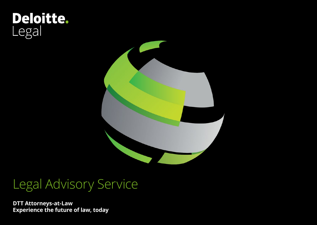# **Deloitte.**<br>Legal



# Legal Advisory Service

**DTT Attorneys-at-Law Experience the future of law, today**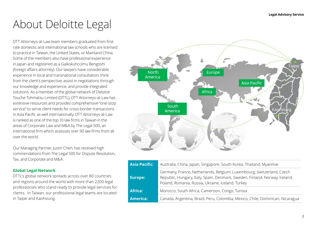# About Deloitte Legal

DTT Attorneys-at-Law team members graduated from firstrate domestic and international law schools who are licensed to practice in Taiwan, the United States, or Mainland China. Some of the members also have professional experience in Japan and registered as a Gaikokuho Jimu Bengoshi (foreign affairs attorney). Our lawyers have considerable experience in local and transnational consultation, think from the client's perspective, assist in negotiations through our knowledge and experience, and provide integrated solutions. As a member of the global network of Deloitte Touche Tohmatsu Limited (DTTL), DTT Attorneys-at-Law has extensive resources and provides comprehensive "one-stop service" to serve client needs for cross-border transactions in Asia Pacific as well internationally. DTT Attorneys-at-Law is ranked as one of the top 10 law firms in Taiwan in the areas of Corporate Law and M&A by The Legal 500, an international firm which assesses over 90 law firms from all over the world.

Our Managing Partner, Justin Chen, has received high commendations from The Legal 500 for Dispute Resolution, Tax, and Corporate and M&A.

# **Global Legal Network**

DTTL's global network spreads across over 80 countries and regions around the world with more than 2200 legal professionals who stand ready to provide legal services for clients. In Taiwan, our professional legal teams are located in Taipei and Kaohsiung.



| Asia Pacific:   | Australia, China, Japan, Singapore, South Korea, Thailand, Myanmar                                                                                                                                        |
|-----------------|-----------------------------------------------------------------------------------------------------------------------------------------------------------------------------------------------------------|
| <b>Europe:</b>  | Germany, France, Netherlands, Belgium, Luxembourg, Switzerland, Czech<br>Republic, Hungary, Italy, Spain, Denmark, Sweden, Finland, Norway, Ireland,<br>Poland, Romania, Russia, Ukraine, Iceland, Turkey |
| Africa:         | Morocco, South Africa, Cameroon, Congo, Tunisia                                                                                                                                                           |
| <b>America:</b> | Canada, Argentina, Brazil, Peru, Colombia, Mexico, Chile, Dominican, Nicaragua                                                                                                                            |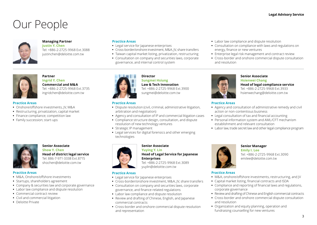# Our People



# **Managing Partner**

**Justin Y. Chen**  Tel: +886-2-2725-9968 Ext.3088 justinchen@deloitte.com.tw

# **Practice Areas**

- **•** Legal service for Japanese enterprises
- **•** Cross-border/onshore investment, M&A, JV, share transfers
- **•** Taiwan capital market listing, privatization, restructuring
- **•** Consultation on company and securities laws, corporate governance, and internal control system

### **Partner Ingrid Y. Chen Commercial and M&A**

Tel: +886-2-2725-9968 Ext.3735 ingridchen@deloitte.com.tw

### **Practice Areas**

- **•** Onshore/offshore investments, JV, M&A
- **•** Restructuring, privatization, capital market
- **•** Finance compliance; competition law
- **•** Family succession; start-ups



### **Senior Associate Show Y. Chen Head of district legal service**

Tel: 886-7-971-3338 Ext.8715 shochen@deloitte.com.tw

# **Practice Areas**

- **•** M&A, Onshore/offshore investments
- **•** Startups, shareholders agreement
- **•** Company & securities law and corporate governance
- **•** Labor law compliance and dispute resolution
- **•** Commercial contract review
- **•** Civil and commercial litigation
- **•** Deloitte Private



# **Director Sungmei Hsiung**

**Law & Tech Innovation** Tel: +886-2-2725-9968 Ext.3900 sungmei@deloitte.com.tw

# **Practice Areas**

- **•** Dispute resolution (civil, criminal, administrative litigation, arbitration and negotiation)
- **•** Agency and consultation of IP and commercial litigation cases
- **•** Compliance structure design, consultation, and dispute resolution of new technology ventures
- **•** Strategic IP management
- **•** Legal services for digital forensics and other emerging technologies



# **Senior Associate**

### **Yuying Y. Lin Head of Legal Service for Japanese Enterprises**

Tel: +886-2-2725-9968 Ext.3089 yuylin@deloitte.com.tw

# **Practice Areas**

- **•** Legal service for Japanese enterprises
- **•** Cross-border/onshore investment, M&A, JV, share transfers
- **•** Consultation on company and securities laws, corporate governance, and finance-related regulations
- **•** Labor law compliance and dispute resolution
- **•** Review and drafting of Chinese, English, and Japanese commercial contracts
- **•** Cross-border and onshore commercial dispute resolution and representation
- **•** Labor law compliance and dispute resolution
- **•** Consultation on compliance with laws and regulations on energy, finance or new ventures
- **•** Enterprise legal risk management and contract review
- **•** Cross-border and onshore commercial dispute consultation and resolution



## **Senior Associate Hsienwei Chang Head of legal compliance service** Tel: +886-2-2725-9968 Ext.3933 hsienwechang@deloitte.com.tw

# **Practice Areas**

- **•** Agency and consultation of administrative remedy and civil action or non-contentious business
- **•** Legal consultation of tax and financial accounting
- **•** Personal information system and AML/CFT mechanism establishment and relevant consultation
- **•** Labor law, trade secret law and other legal compliance program



**Senior Manager** 

**Emily I. Lee** Tel: +886-2-2725-9968 Ext.3090 emilee@deloitte.com.tw

# **Practice Areas**

- **•** M&A, onshore/offshore investments, restructuring, and JV
- **•** Capital market listing, financial contracts and ISDA
- **•** Compliance and reporting of financial laws and regulations, corporate governance
- **•** Review and drafting of Chinese and English commercial contracts
- **•** Cross-border and onshore commercial dispute consultation and resolution
- **•** Organization and equity planning, operation and fundraising counselling for new ventures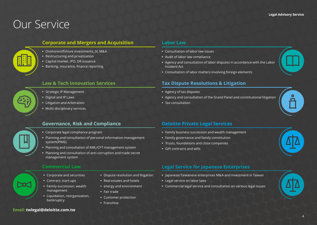# Our Service

# **[Corporate and Mergers and Acquisition](#page-4-0)**

- **•** Onshore/offshore investments, JV, M&A
- **•** Restructuring and privatization
- **•** Capital market, IPO, DR issuance
- **•** Banking, insurance, finance reporting

# **[Law & Tech Innovation Services](#page-5-0)**

- **•** Strategic IP Management
- **•** Digital and IP Laws
- **•** Litigation and Arbitration
- **•** Multi-disciplinary services

# **[Governance, Risk and Compliance](#page-6-0)**

- **•** Corporate legal compliance program
- **•** Planning and consultation of personal information management system(PIMS)
- **•** Planning and consultation of AML/CFT management system
- **•** Planning and consultation of anti-corruption and trade secret management system

# **[Commercial Law](#page-10-0)**

- **•** Corporate and securities
- **•** Contract; start-ups
- **•** Family succession, wealth management
- **•** Liquidation, reorganization, bankruptcy
- **•** Dispute resolution and litigation
- **•** Real estates and hotels
- **•** energy and environment
- **•** Fair trade
- **•** Customer protection
- **•** Franchise

# **[Labor Law](#page-7-0)**

- **•** Consultation of labor law issues
- **•** Audit of labor law compliance
- **•** Agency and consultation of labor disputes in accordance with the Labor Incident Act
- **•** Consultation of labor matters involving foreign elements

# **[Tax Dispute Resolutions & Litigation](#page-8-0)**

- **•** Agency of tax disputes
- **•** Agency and consultation of the Grand Panel and constitutional litigation
- **•** Tax consultation

# **[Deloitte Private Legal Services](#page-9-0)**

- **•** Family business succession and wealth management
- **•** Family governance and family constitution
- **•** Trusts, foundations and close companies
- **•** Gift contracts and wills



# **[Legal Service for Japanese Enterprises](#page-12-0)**

- **•** Japanese/Taiwanese enterprises M&A and investment in Taiwan
- **•** Legal service on labor laws
- **•** Commercial legal service and consultation on various legal issues



# **Email: twlegal@deloitte.com.tw**

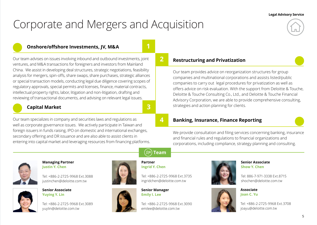# <span id="page-4-0"></span>Corporate and Mergers and Acquisition



# **Onshore/offshore Investments, JV, M&A**

Our team advises on issues involving inbound and outbound investments, joint ventures, and M&A transactions for foreigners and investors from Mainland China. We assist in developing deal structures, strategic negotiations, feasibility analysis for mergers, spin-offs, share swaps, share purchases, strategic alliances or special transaction models, conducting legal due diligence covering scopes of regulatory approvals, special permits and licenses, finance, material contracts, intellectual property rights, labor, litigation and non-litigation, drafting and reviewing of transactional documents, and advising on relevant legal issues.



# **Capital Market**

Our team specializes in company and securities laws and regulations as well as corporate governance issues. We actively participate in Taiwan and foreign issuers in funds raising, IPO on domestic and international exchanges, secondary offering and DR issuance and are also able to assist clients in entering into capital market and leveraging resources from financing platforms. **2**

**4**

**Team**

**3**

**Partner Ingrid Y. Chen**

 $\Omega$ 

# **Restructuring and Privatization**

Our team provides advice on reorganization structures for group companies and multinational corporations and assists listed/public companies to carry out legal procedures for privatization as well as offers advice on risk evaluation. With the support from Deloitte & Touche, Deloitte & Touche Consulting Co., Ltd., and Deloitte & Touche Financial Advisory Corporation, we are able to provide comprehensive consulting, strategies and action planning for clients.

# **Banking, Insurance, Finance Reporting**

We provide consultation and filing services concerning banking, insurance and financial rules and regulations to financial organizations and corporations, including compliance, strategy planning and consulting.



# **Managing Partner Justin Y. Chen**

Tel: +886-2-2725-9968 Ext.3088 justinchen@deloitte.com.tw



# **Senior Associate Yuying Y. Lin**

Tel: +886-2-2725-9968 Ext.3089 yuylin@deloitte.com.tw





ingridchen@deloitte.com.tw

Tel: +886-2-2725-9968 Ext.3735

**Senior Manager Emily I. Lee**

Tel: +886-2-2725-9968 Ext.3090 emilee@deloitte.com.tw



# **Senior Associate Show Y. Chen**

Tel: 886-7-971-3338 Ext.8715 shochen@deloitte.com.tw

**Associate Joan C. Yu**

Tel: +886-2-2725-9968 Ext.3708 joayu@deloitte.com.tw



5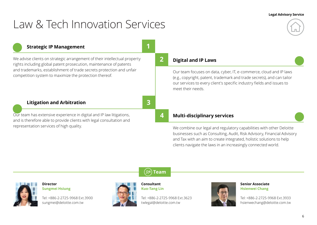# <span id="page-5-0"></span>Law & Tech Innovation Services

# **Strategic IP Management**

We advise clients on strategic arrangement of their intellectual property rights including global patent prosecution, maintenance of patents and trademarks, establishment of trade secrets protection and unfair competition system to maximize the protection thereof.

# **Litigation and Arbitration**

Our team has extensive experience in digital and IP law litigations, and is therefore able to provide clients with legal consultation and representation services of high quality.

# **2**

**4**

**1**

**3**

# **Digital and IP Laws**

Our team focuses on data, cyber, IT, e-commerce, cloud and IP laws (e.g., copyright, patent, trademark and trade secrets), and can tailor our services to every client's specific industry fields and issues to meet their needs.

# **Multi-disciplinary services**

We combine our legal and regulatory capabilities with other Deloitte businesses such as Consulting, Audit, Risk Advisory, Financial Advisory and Tax with an aim to create integrated, holistic solutions to help clients navigate the laws in an increasingly connected world.

# **Director Sungmei Hsiung**

Tel: +886-2-2725-9968 Ext.3900 sungmei@deloitte.com.tw





**Consultant Kuo-Tang Lin**

Tel: +886-2-2725-9968 Ext.3623 twlegal@deloitte.com.tw



**Senior Associate Hsienwei Chang**

Tel: +886-2-2725-9968 Ext.3933 hsienwechang@deloitte.com.tw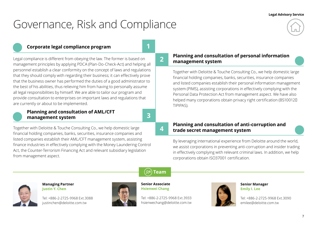# <span id="page-6-0"></span>Governance, Risk and Compliance

# **Corporate legal compliance program**

**2**

**1**

Legal compliance is different from obeying the law. The former is based on management principles by applying PDCA (Plan-Do-Check-Act) and helping all personnel establish a clear conformity on the concept of laws and regulations that they should comply with regarding their business; it can effectively prove that the business owner has performed the duties of a good administrator to the best of his abilities, thus relieving him from having to personally assume all legal responsibilities by himself. We are able to tailor our program and provide consultation to enterprises on important laws and regulations that are currently or about to be implemented.

# **Planning and consultation of AML/CFT management system**

**3**

**4**

Together with Deloitte & Touche Consulting Co., we help domestic large financial holding companies, banks, securities, insurance companies and listed companies establish their AML/CFT management system, assisting finance industries in effectively complying with the Money Laundering Control Act, the Counter-Terrorism Financing Act and relevant subsidiary legislation from management aspect.

# **Planning and consultation of personal information management system**

Together with Deloitte & Touche Consulting Co., we help domestic large financial holding companies, banks, securities, insurance companies and listed companies establish their personal information management system (PIMS), assisting corporations in effectively complying with the Personal Data Protection Act from management aspect. We have also helped many corporations obtain privacy right certification (BS10012D) TIPIPAS).

# **Planning and consultation of anti-corruption and trade secret management system**

By leveraging international experience from Deloitte around the world, we assist corporations in preventing anti-corruption and insider trading in effectively complying with relevant criminal laws. In addition, we help corporations obtain ISO37001 certification.



**Managing Partner Justin Y. Chen** 

Tel: +886-2-2725-9968 Ext.3088 justinchen@deloitte.com.tw



**Team**

**Senior Associate Hsienwei Chang**

Tel: +886-2-2725-9968 Ext.3933 hsienwechang@deloitte.com.tw



**Senior Manager Emily I. Lee**

Tel: +886-2-2725-9968 Ext.3090 emilee@deloitte.com.tw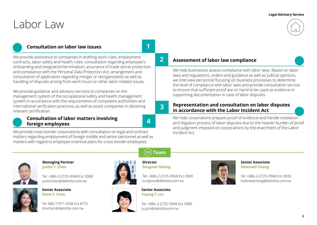# <span id="page-7-0"></span>Labor Law

# **Consultation on labor law issues**

We provide assistance to companies in drafting work rules, employment contracts, labor safety and health rules; consultation regarding employee's onboarding and resignation/termination; assurance of trade secret protection and compliance with the Personal Data Protection Act; arrangement and consultation of application regarding merger or reorganization as well as handling of disputes arising from work hours or other labor-related issues.

We provide guidance and advisory services to companies on the management system of the occupational safety and health management system in accordance with the requirements of competent authorities and international verification practices, as well as assist companies in obtaining relevant certification.

# **Consultation of labor matters involving foreign employees**

**4**

**Director Sungmei Hsiung**

 $\Omega$ 

**1**

**2**

**3**

We provide cross-border corporations with consultation on legal and contract matters regarding employment of foreign middle and senior personnel as well as matters with regard to employee incentive plans for cross-border employees.

**Assessment of labor law compliance** 

We help businesses assess compliance with labor laws. Based on labor laws and regulations, orders and guidance as well as judicial opinions, we interview personnel focusing on business processes to determine the level of compliance with labor laws and provide consultation service to ensure that sufficient proof are on hand to be used as evidence or supporting documentation in case of labor disputes.

# **Representation and consultation on labor disputes in accordance with the Labor Incident Act**

We help corporations prepare proof of evidence and handle mediation and litigation process of labor disputes due to the heavier burden of proof and judgment imposed on corporations by the enactment of the Labor Incident Act.



### **Managing Partner Justin Y. Chen**

Tel: +886-2-2725-9968 Ext.3088 justinchen@deloitte.com.tw



**Senior Associate Show Y. Chen**

Tel: 886-7-971-3338 Ext.8715 shochen@deloitte.com.tw





Tel: +886-2-2725-9968 Ext.3900 sungmei@deloitte.com.tw

**Senior Associate Yuying Y. Lin**

**Team**

Tel: +886-2-2725-9968 Ext.3089 yuylin@deloitte.com.tw



# **Senior Associate Hsienwei Chang**

Tel: +886-2-2725-9968 Ext.3933 hsienwechang@deloitte.com.tw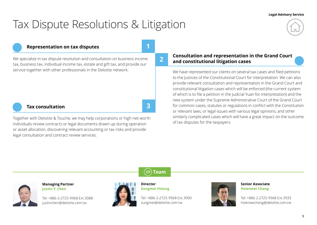# <span id="page-8-0"></span>Tax Dispute Resolutions & Litigation



# **Representation on tax disputes**

**and constitutional litigation cases** We specialize in tax dispute resolution and consultation on business income tax, business tax, individual income tax, estate and gift tax, and provide our service together with other professionals in the Deloitte network.

# **Tax consultation**

Together with Deloitte & Touche, we may help corporations or high-net-worth individuals review contracts or legal documents drawn up during operation or asset allocation, discovering relevant accounting or tax risks and provide legal consultation and contract review services.

**Consultation and representation in the Grand Court** 

We have represented our clients on several tax cases and filed petitions to the Justices of the Constitutional Court for interpretation. We can also provide relevant consultation and representation in the Grand Court and constitutional litigation cases which will be enforced (the current system of which is to file a petition in the Judicial Yuan for interpretation) and the new system under the Supreme Administrative Court of the Grand Court for common cases, statutes or regulations in conflict with the Constitution or relevant laws, or legal issues with various legal opinions, and other similarly complicated cases which will have a great impact on the outcome of tax disputes for the taxpayers.



**1**

**2**

**3**



**Managing Partner Justin Y. Chen** 

Tel: +886-2-2725-9968 Ext.3088 justinchen@deloitte.com.tw



**Director Sungmei Hsiung**

Tel: +886-2-2725-9968 Ext.3900 sungmei@deloitte.com.tw



**Senior Associate Hsienwei Chang**

Tel: +886-2-2725-9968 Ext.3933 hsienwechang@deloitte.com.tw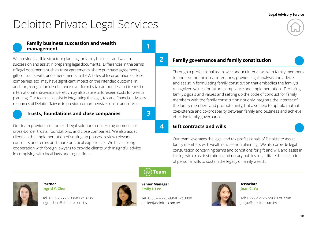# <span id="page-9-0"></span>Deloitte Private Legal Services

# **Family business succession and wealth management**

We provide feasible structure planning for family business and wealth succession and assist in preparing legal documents. Differences in the terms of legal documents such as trust agreements, share purchase agreements, gift contracts, wills, and amendments to the Articles of Incorporation of close companies, etc., may have significant impact on the intended outcome. In addition, recognition of substance-over-form by tax authorities and trends in international anti-avoidance, etc., may also cause unforeseen costs for wealth planning. Our team can assist in integrating the legal, tax and financial advisory resources of Deloitte Taiwan to provide comprehensive consultant services.

# **Trusts, foundations and close companies**

**3**

**1**

**2**

**4**

Our team provides customized legal solutions concerning domestic or cross-border trusts, foundations, and close companies. We also assist clients in the implementation of setting up phases, review relevant contracts and terms and share practical experience. We have strong cooperation with foreign lawyers to provide clients with insightful advice in complying with local laws and regulations.

# **Family governance and family constitution**

Through a professional team, we conduct interviews with family members to understand their real intentions, provide legal analysis and advice, and assist in formulating family constitution that embodies the family's recognized values for future compliance and implementation. Declaring family's goals and values and setting up the code of conduct for family members with the family constitution not only integrate the interest of the family members and promote unity, but also help to uphold mutual coexistence and co-prosperity between family and business and achieve effective family governance.

# **Gift contracts and wills**

Our team leverages the legal and tax professionals of Deloitte to assist family members with wealth succession planning. We also provide legal consultation concerning terms and conditions for gift and will, and assist in liaising with trust institutions and notary publics to facilitate the execution of personal wills to sustain the legacy of family wealth.

**Partner Ingrid Y. Chen**

Tel: +886-2-2725-9968 Ext.3735 ingridchen@deloitte.com.tw



**Senior Manager Emily I. Lee**

**Team**

Tel: +886-2-2725-9968 Ext.3090 emilee@deloitte.com.tw



**Associate Joan C. Yu**

Tel: +886-2-2725-9968 Ext.3708 joayu@deloitte.com.tw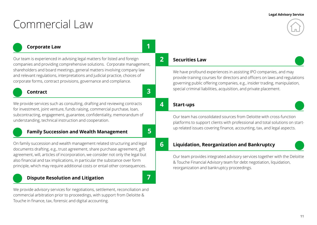# <span id="page-10-0"></span>Commercial Law

# **Corporate Law**

Our team is experienced in advising legal matters for listed and foreign companies and providing comprehensive solutions. Corporate management, shareholders and board meetings, general matters involving company law and relevant regulations, interpretations and judicial practice, choices of corporate forms, contract provisions, governance and compliance.

# **Contract**

We provide services such as consulting, drafting and reviewing contracts for investment, joint venture, funds raising, commercial purchase, loan, subcontracting, engagement, guarantee, confidentiality, memorandum of understanding, technical instruction and cooperation.

# **Family Succession and Wealth Management**

On family succession and wealth management related structuring and legal documents drafting, e.g., trust agreement, share purchase agreement, gift agreement, will, articles of incorporation, we consider not only the legal but also financial and tax implications, in particular the substance over form principle, which may require additional costs or entail other consequences.

# **Dispute Resolution and Litigation**

We provide advisory services for negotiations, settlement, reconciliation and commercial arbitration prior to proceedings, with support from Deloitte & Touche in finance, tax, forensic and digital accounting.

**2**

**4**

**1**

**3**

**5**

**7**

# **Securities Law**

We have profound experiences in assisting IPO companies, and may provide training courses for directors and officers on laws and regulations governing public offering companies, e.g., insider trading, manipulation, special criminal liabilities, acquisition, and private placement.

# **Start-ups**

Our team has consolidated sources from Deloitte with cross-function platforms to support clients with professional and total solutions on startup related issues covering finance, accounting, tax, and legal aspects.

# **6**

# **Liquidation, Reorganization and Bankruptcy**

Our team provides integrated advisory services together with the Deloitte & Touche Financial Advisory team for debt negotiation, liquidation, reorganization and bankruptcy proceedings.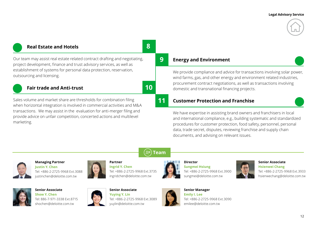

# **Real Estate and Hotels**

Our team may assist real estate related contract drafting and negotiating, project development, finance and trust advisory services, as well as establishment of systems for personal data protection, reservation, outsourcing and licensing.

# **Fair trade and Anti-trust**

**10**

**8**

**9**

Sales volume and market share are thresholds for combination filing when horizontal integration is involved in commercial activities and M&A transactions. We may assist in the evaluation for anti-merger filing and provide advice on unfair competition, concerted actions and multilevel marketing.

# **Energy and Environment**

We provide compliance and advice for transactions involving solar power, wind farms, gas, and other energy and environment related industries, procurement contract negotiations, as well as transactions involving domestic and transnational financing projects.

### **Customer Protection and Franchise 11**

We have expertise in assisting brand owners and franchisers in local and international compliance, e.g., building systematic and standardized procedures for customer protection, food safety, personnel, personal data, trade secret, disputes, reviewing franchise and supply chain documents, and advising on relevant issues.

# **Managing Partner Justin Y. Chen**

Tel: +886-2-2725-9968 Ext.3088 justinchen@deloitte.com.tw



## **Partner**

**Ingrid Y. Chen** Tel: +886-2-2725-9968 Ext.3735 ingridchen@deloitte.com.tw



**Team**

## **Director Sungmei Hsiung** Tel: +886-2-2725-9968 Ext.3900 sungmei@deloitte.com.tw



# **Senior Associate Hsienwei Chang** Tel: +886-2-2725-9968 Ext.3933 hsienwechang@deloitte.com.tw



**Senior Associate Show Y. Chen** Tel: 886-7-971-3338 Ext.8715 shochen@deloitte.com.tw



**Senior Associate Yuying Y. Lin** Tel: +886-2-2725-9968 Ext.3089 yuylin@deloitte.com.tw



**Senior Manager Emily I. Lee** Tel: +886-2-2725-9968 Ext.3090

emilee@deloitte.com.tw

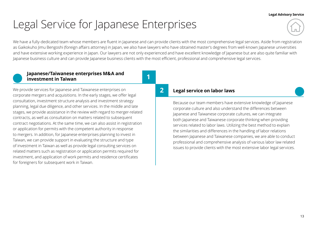# <span id="page-12-0"></span>Legal Service for Japanese Enterprises

We have a fully-dedicated team whose members are fluent in Japanese and can provide clients with the most comprehensive legal services. Aside from registration as Gaikokuho Jimu Bengoshi (foreign affairs attorney) in Japan, we also have lawyers who have obtained master's degrees from well-known Japanese universities and have extensive working experience in Japan. Our lawyers are not only experienced and have excellent knowledge of Japanese but are also quite familiar with Japanese business culture and can provide Japanese business clients with the most efficient, professional and comprehensive legal services.

**1**

# **Japanese/Taiwanese enterprises M&A and investment in Taiwan**

We provide services for Japanese and Taiwanese enterprises on **Legal service on labor laws** corporate mergers and acquisitions. In the early stages, we offer legal consultation, investment structure analysis and investment strategy planning, legal due diligence, and other services. In the middle and late stages, we provide assistance in the review with regard to merger-related contracts, as well as consultation on matters related to subsequent contract negotiations. At the same time, we can also assist in registration or application for permits with the competent authority in response to mergers. In addition, for Japanese enterprises planning to invest in Taiwan, we can provide support in evaluating the structure and type of investment in Taiwan as well as provide legal consulting services on related matters such as registration or application permits required for investment, and application of work permits and residence certificates for foreigners for subsequent work in Taiwan.

# **2**

Because our team members have extensive knowledge of Japanese corporate culture and also understand the differences between Japanese and Taiwanese corporate cultures, we can integrate both Japanese and Taiwanese corporate thinking when providing services related to labor laws. Utilizing the best method to explain the similarities and differences in the handling of labor relations between Japanese and Taiwanese companies, we are able to conduct professional and comprehensive analysis of various labor law related issues to provide clients with the most extensive labor legal services.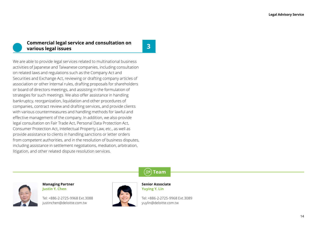# **Commercial legal service and consultation on various legal issues**

**3**

We are able to provide legal services related to multinational business activities of Japanese and Taiwanese companies, including consultation on related laws and regulations such as the Company Act and Securities and Exchange Act, reviewing or drafting company articles of association or other internal rules, drafting proposals for shareholders or board of directors meetings, and assisting in the formulation of strategies for such meetings. We also offer assistance in handling bankruptcy, reorganization, liquidation and other procedures of companies, contract review and drafting services, and provide clients with various countermeasures and handling methods for lawful and effective management of the company. In addition, we also provide legal consultation on Fair Trade Act, Personal Data Protection Act, Consumer Protection Act, Intellectual Property Law, etc., as well as provide assistance to clients in handling sanctions or letter orders from competent authorities, and in the resolution of business disputes, including assistance in settlement negotiations, mediation, arbitration, litigation, and other related dispute resolution services.



**Managing Partner Justin Y. Chen**

Tel: +886-2-2725-9968 Ext.3088 justinchen@deloitte.com.tw



**Senior Associate Yuying Y. Lin**

Tel: +886-2-2725-9968 Ext.3089 yuylin@deloitte.com.tw